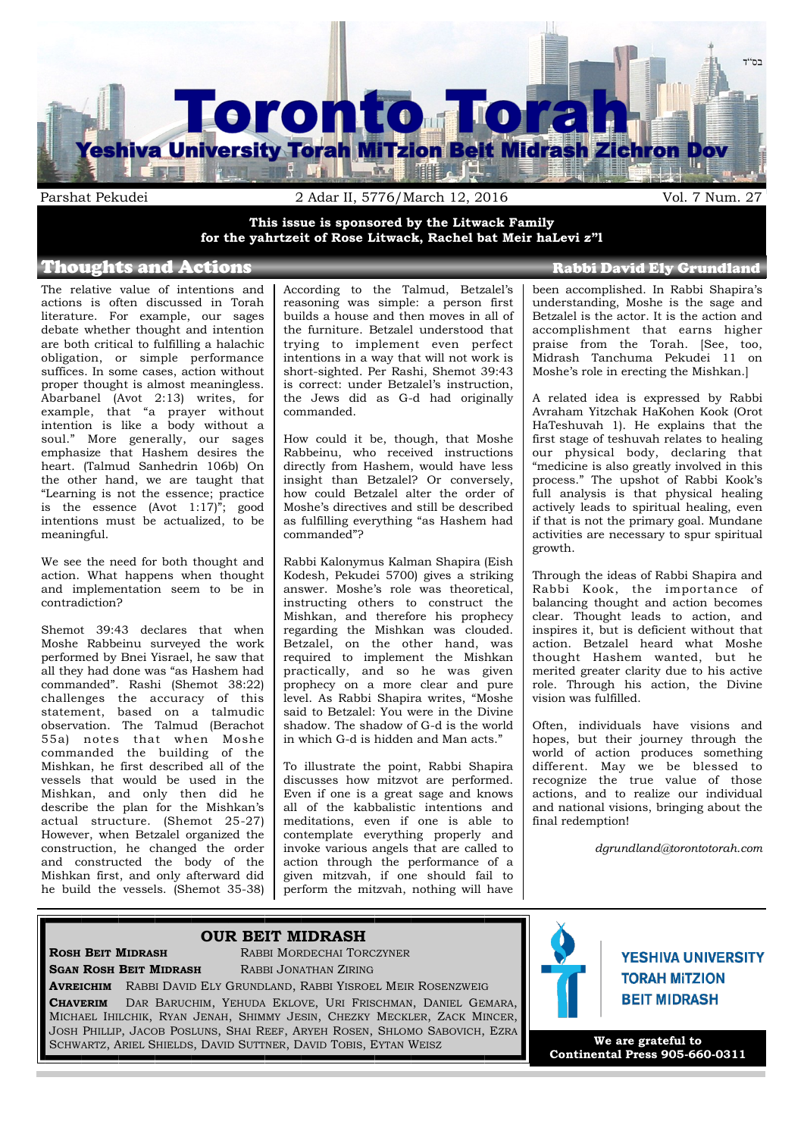

**This issue is sponsored by the Litwack Family for the yahrtzeit of Rose Litwack, Rachel bat Meir haLevi z"l**

## Thoughts and Actions **Rabbi David Ely Grundland**

The relative value of intentions and actions is often discussed in Torah literature. For example, our sages debate whether thought and intention are both critical to fulfilling a halachic obligation, or simple performance suffices. In some cases, action without proper thought is almost meaningless. Abarbanel (Avot 2:13) writes, for example, that "a prayer without intention is like a body without a soul." More generally, our sages emphasize that Hashem desires the heart. (Talmud Sanhedrin 106b) On the other hand, we are taught that "Learning is not the essence; practice is the essence (Avot 1:17)"; good intentions must be actualized, to be meaningful.

We see the need for both thought and action. What happens when thought and implementation seem to be in contradiction?

Shemot 39:43 declares that when Moshe Rabbeinu surveyed the work performed by Bnei Yisrael, he saw that all they had done was "as Hashem had commanded". Rashi (Shemot 38:22) challenges the accuracy of this statement, based on a talmudic observation. The Talmud (Berachot 55a) notes that when Moshe commanded the building of the Mishkan, he first described all of the vessels that would be used in the Mishkan, and only then did he describe the plan for the Mishkan's actual structure. (Shemot 25-27) However, when Betzalel organized the construction, he changed the order and constructed the body of the Mishkan first, and only afterward did he build the vessels. (Shemot 35-38) According to the Talmud, Betzalel's reasoning was simple: a person first builds a house and then moves in all of the furniture. Betzalel understood that trying to implement even perfect intentions in a way that will not work is short-sighted. Per Rashi, Shemot 39:43 is correct: under Betzalel's instruction, the Jews did as G-d had originally commanded.

How could it be, though, that Moshe Rabbeinu, who received instructions directly from Hashem, would have less insight than Betzalel? Or conversely, how could Betzalel alter the order of Moshe's directives and still be described as fulfilling everything "as Hashem had commanded"?

Rabbi Kalonymus Kalman Shapira (Eish Kodesh, Pekudei 5700) gives a striking answer. Moshe's role was theoretical, instructing others to construct the Mishkan, and therefore his prophecy regarding the Mishkan was clouded. Betzalel, on the other hand, was required to implement the Mishkan practically, and so he was given prophecy on a more clear and pure level. As Rabbi Shapira writes, "Moshe said to Betzalel: You were in the Divine shadow. The shadow of G-d is the world in which G-d is hidden and Man acts."

To illustrate the point, Rabbi Shapira discusses how mitzvot are performed. Even if one is a great sage and knows all of the kabbalistic intentions and meditations, even if one is able to contemplate everything properly and invoke various angels that are called to action through the performance of a given mitzvah, if one should fail to perform the mitzvah, nothing will have

been accomplished. In Rabbi Shapira's understanding, Moshe is the sage and Betzalel is the actor. It is the action and accomplishment that earns higher praise from the Torah. [See, too, Midrash Tanchuma Pekudei 11 on Moshe's role in erecting the Mishkan.]

A related idea is expressed by Rabbi Avraham Yitzchak HaKohen Kook (Orot HaTeshuvah 1). He explains that the first stage of teshuvah relates to healing our physical body, declaring that "medicine is also greatly involved in this process." The upshot of Rabbi Kook's full analysis is that physical healing actively leads to spiritual healing, even if that is not the primary goal. Mundane activities are necessary to spur spiritual growth.

Through the ideas of Rabbi Shapira and Rabbi Kook, the importance of balancing thought and action becomes clear. Thought leads to action, and inspires it, but is deficient without that action. Betzalel heard what Moshe thought Hashem wanted, but he merited greater clarity due to his active role. Through his action, the Divine vision was fulfilled.

Often, individuals have visions and hopes, but their journey through the world of action produces something different. May we be blessed to recognize the true value of those actions, and to realize our individual and national visions, bringing about the final redemption!

*dgrundland@torontotorah.com*

### **OUR BEIT MIDRASH**

**ROSH BEIT MIDRASH RABBI MORDECHAI TORCZYNER SGAN ROSH BEIT MIDRASH** RABBI JONATHAN ZIRING

**AVREICHIM** RABBI DAVID ELY GRUNDLAND, RABBI YISROEL MEIR ROSENZWEIG **CHAVERIM** DAR BARUCHIM, YEHUDA EKLOVE, URI FRISCHMAN, DANIEL GEMARA, MICHAEL IHILCHIK, RYAN JENAH, SHIMMY JESIN, CHEZKY MECKLER, ZACK MINCER, JOSH PHILLIP, JACOB POSLUNS, SHAI REEF, ARYEH ROSEN, SHLOMO SABOVICH, EZRA SCHWARTZ, ARIEL SHIELDS, DAVID SUTTNER, DAVID TOBIS, EYTAN WEISZ



**YESHIVA UNIVERSITY TORAH MITZION BEIT MIDRASH** 

**We are grateful to Continental Press 905-660-0311**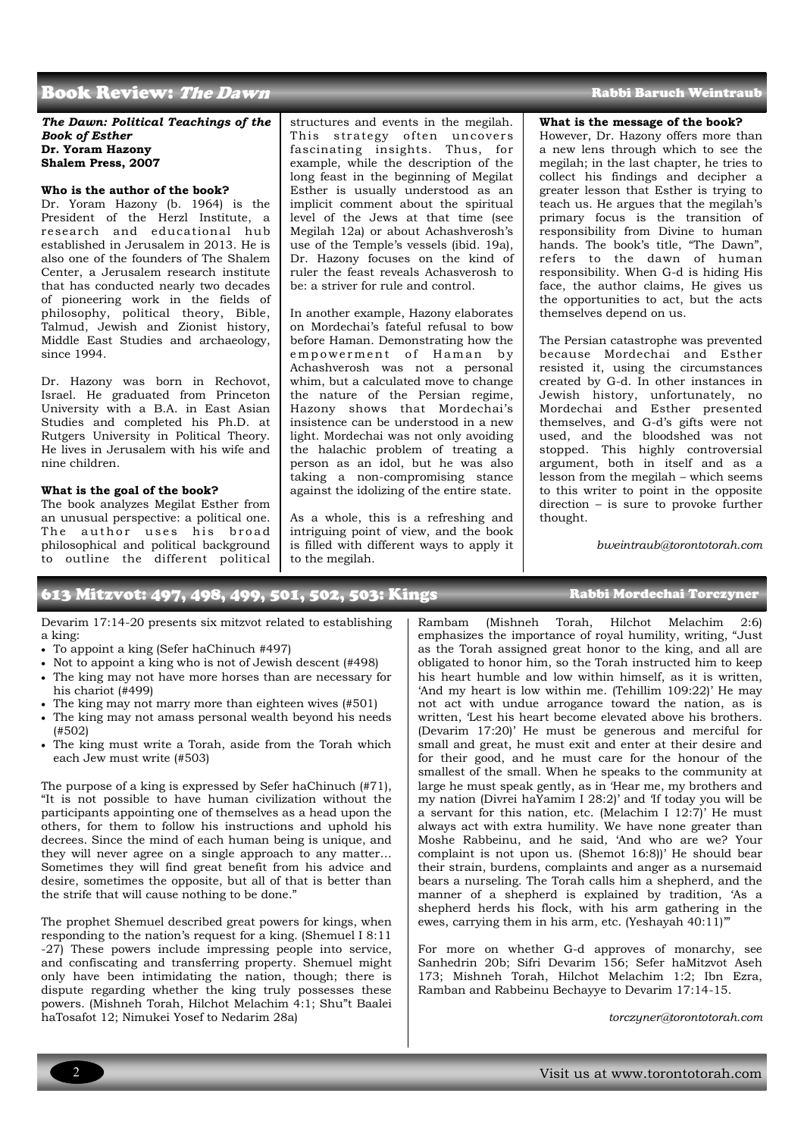## Book Review: The Dawn

#### *The Dawn: Political Teachings of the Book of Esther* **Dr. Yoram Hazony Shalem Press, 2007**

#### **Who is the author of the book?**

Dr. Yoram Hazony (b. 1964) is the President of the Herzl Institute, a research and educational hub established in Jerusalem in 2013. He is also one of the founders of The Shalem Center, a Jerusalem research institute that has conducted nearly two decades of pioneering work in the fields of philosophy, political theory, Bible, Talmud, Jewish and Zionist history, Middle East Studies and archaeology, since 1994.

Dr. Hazony was born in Rechovot, Israel. He graduated from Princeton University with a B.A. in East Asian Studies and completed his Ph.D. at Rutgers University in Political Theory. He lives in Jerusalem with his wife and nine children.

#### **What is the goal of the book?**

The book analyzes Megilat Esther from an unusual perspective: a political one. The author uses his broad philosophical and political background to outline the different political structures and events in the megilah. This strategy often uncovers fascinating insights. Thus, for example, while the description of the long feast in the beginning of Megilat Esther is usually understood as an implicit comment about the spiritual level of the Jews at that time (see Megilah 12a) or about Achashverosh's use of the Temple's vessels (ibid. 19a), Dr. Hazony focuses on the kind of ruler the feast reveals Achasverosh to be: a striver for rule and control.

In another example, Hazony elaborates on Mordechai's fateful refusal to bow before Haman. Demonstrating how the empowerment of Haman by Achashverosh was not a personal whim, but a calculated move to change the nature of the Persian regime, Hazony shows that Mordechai's insistence can be understood in a new light. Mordechai was not only avoiding the halachic problem of treating a person as an idol, but he was also taking a non-compromising stance against the idolizing of the entire state.

As a whole, this is a refreshing and intriguing point of view, and the book is filled with different ways to apply it to the megilah.

#### Rabbi Baruch Weintraub

#### **What is the message of the book?**

However, Dr. Hazony offers more than a new lens through which to see the megilah; in the last chapter, he tries to collect his findings and decipher a greater lesson that Esther is trying to teach us. He argues that the megilah's primary focus is the transition of responsibility from Divine to human hands. The book's title, "The Dawn", refers to the dawn of human responsibility. When G-d is hiding His face, the author claims, He gives us the opportunities to act, but the acts themselves depend on us.

The Persian catastrophe was prevented because Mordechai and Esther resisted it, using the circumstances created by G-d. In other instances in Jewish history, unfortunately, no Mordechai and Esther presented themselves, and G-d's gifts were not used, and the bloodshed was not stopped. This highly controversial argument, both in itself and as a lesson from the megilah – which seems to this writer to point in the opposite direction – is sure to provoke further thought.

*bweintraub@torontotorah.com*

## 613 Mitzvot: 497, 498, 499, 501, 502, 503: Kings Rabbi Mordechai Torczyner

Devarim 17:14-20 presents six mitzvot related to establishing a king:

- To appoint a king (Sefer haChinuch #497)
- Not to appoint a king who is not of Jewish descent (#498)
- The king may not have more horses than are necessary for his chariot (#499)
- The king may not marry more than eighteen wives (#501)
- The king may not amass personal wealth beyond his needs (#502)
- The king must write a Torah, aside from the Torah which each Jew must write (#503)

The purpose of a king is expressed by Sefer haChinuch (#71), "It is not possible to have human civilization without the participants appointing one of themselves as a head upon the others, for them to follow his instructions and uphold his decrees. Since the mind of each human being is unique, and they will never agree on a single approach to any matter… Sometimes they will find great benefit from his advice and desire, sometimes the opposite, but all of that is better than the strife that will cause nothing to be done."

The prophet Shemuel described great powers for kings, when responding to the nation's request for a king. (Shemuel I 8:11 -27) These powers include impressing people into service, and confiscating and transferring property. Shemuel might only have been intimidating the nation, though; there is dispute regarding whether the king truly possesses these powers. (Mishneh Torah, Hilchot Melachim 4:1; Shu"t Baalei haTosafot 12; Nimukei Yosef to Nedarim 28a)

Rambam (Mishneh Torah, Hilchot Melachim 2:6) emphasizes the importance of royal humility, writing, "Just as the Torah assigned great honor to the king, and all are obligated to honor him, so the Torah instructed him to keep his heart humble and low within himself, as it is written, 'And my heart is low within me. (Tehillim 109:22)' He may not act with undue arrogance toward the nation, as is written, 'Lest his heart become elevated above his brothers. (Devarim 17:20)' He must be generous and merciful for small and great, he must exit and enter at their desire and for their good, and he must care for the honour of the smallest of the small. When he speaks to the community at large he must speak gently, as in 'Hear me, my brothers and my nation (Divrei haYamim I 28:2)' and 'If today you will be a servant for this nation, etc. (Melachim I 12:7)' He must always act with extra humility. We have none greater than Moshe Rabbeinu, and he said, 'And who are we? Your complaint is not upon us. (Shemot 16:8))' He should bear their strain, burdens, complaints and anger as a nursemaid bears a nurseling. The Torah calls him a shepherd, and the manner of a shepherd is explained by tradition, 'As a shepherd herds his flock, with his arm gathering in the ewes, carrying them in his arm, etc. (Yeshayah 40:11)"

For more on whether G-d approves of monarchy, see Sanhedrin 20b; Sifri Devarim 156; Sefer haMitzvot Aseh 173; Mishneh Torah, Hilchot Melachim 1:2; Ibn Ezra, Ramban and Rabbeinu Bechayye to Devarim 17:14-15.

*torczyner@torontotorah.com*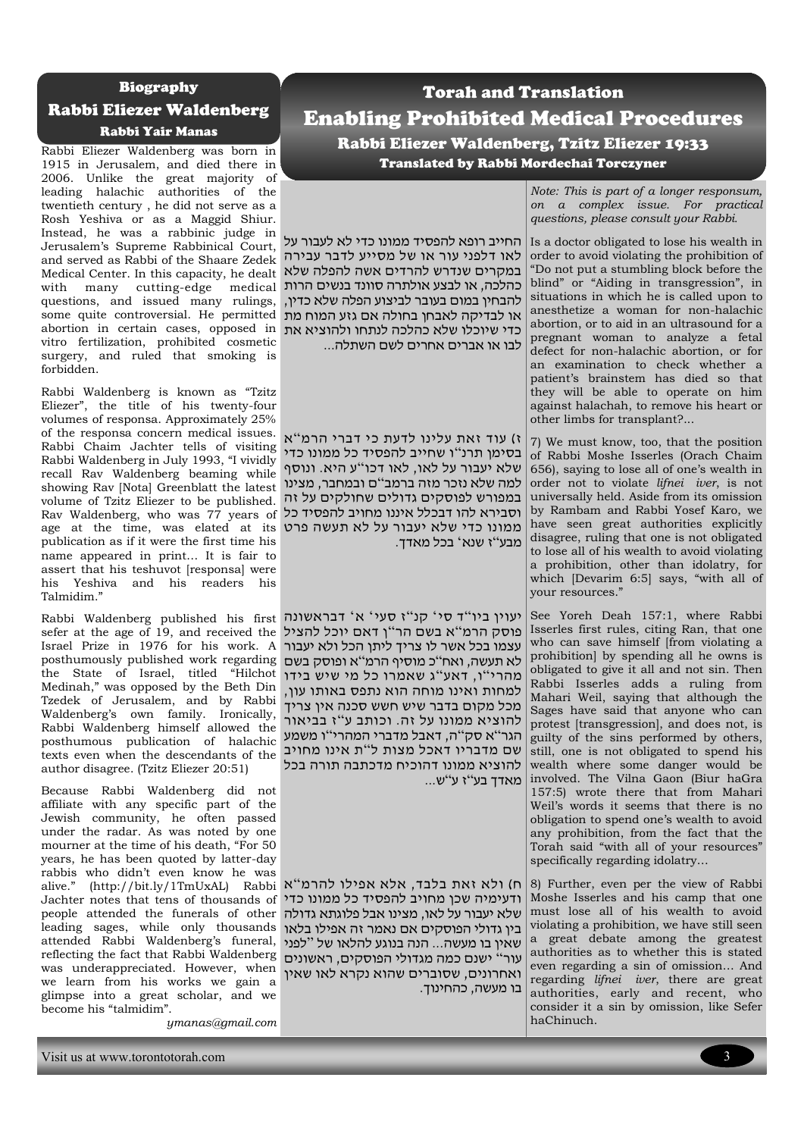#### Biography

## Rabbi Eliezer Waldenberg

## Rabbi Yair Manas

Rabbi Eliezer Waldenberg was born in 1915 in Jerusalem, and died there in 2006. Unlike the great majority of leading halachic authorities of the twentieth century , he did not serve as a Rosh Yeshiva or as a Maggid Shiur. Instead, he was a rabbinic judge in Jerusalem's Supreme Rabbinical Court, and served as Rabbi of the Shaare Zedek Medical Center. In this capacity, he dealt with many cutting-edge medical questions, and issued many rulings, some quite controversial. He permitted או לבדיקה לאבחן בחולה אם גזע המוח מת abortion in certain cases, opposed in כדי שיוכלו שלא כהלכה לנתחו ולהוציא את vitro fertilization, prohibited cosmetic surgery, and ruled that smoking is forbidden.

Rabbi Waldenberg is known as "Tzitz Eliezer", the title of his twenty-four volumes of responsa. Approximately 25% of the responsa concern medical issues. Rabbi Chaim Jachter tells of visiting Rabbi Waldenberg in July 1993, "I vividly recall Rav Waldenberg beaming while showing Rav [Nota] Greenblatt the latest volume of Tzitz Eliezer to be published. Rav Waldenberg, who was 77 years of וסבירא להו דבכלל איננו מחויב להפסיד כל age at the time, was elated at its ממונו כדי שלא יעבור על לא תעשה פרט publication as if it were the first time his name appeared in print… It is fair to assert that his teshuvot [responsa] were his Yeshiva and his readers his Talmidim."

sefer at the age of 19, and received the פוסק הרמ " א בשם הר " ן דאם יוכל להציל Israel Prize in 1976 for his work. A עצמו בכל אשר לו צריך ליתן הכל ולא יעבור posthumously published work regarding לא תעשה, ואח"כ מוסיף הרמ"א ופוסק בשם the State of Israel, titled "Hilchot Medinah," was opposed by the Beth Din Tzedek of Jerusalem, and by Rabbi Waldenberg's own family. Ironically, Rabbi Waldenberg himself allowed the posthumous publication of halachic שם מדבריו דאכל מצות ל"ת אינו מחויב exinamodo pasmamodo pasmamodo of madamo author disagree. (Tzitz Eliezer 20:51)

Because Rabbi Waldenberg did not affiliate with any specific part of the Jewish community, he often passed under the radar. As was noted by one mourner at the time of his death, "For 50 years, he has been quoted by latter-day rabbis who didn't even know he was alive." (http://bit.ly/1TmUxAL) Rabbi ה) ולא זאת בלבד, אלא אפילו להרמ"א Jachter notes that tens of thousands of ודעימיה שכן מחויב להפסיד כל ממונו כדי people attended the funerals of other שלא יעבור על לאו, מצינו אבל פלוגתא גדולה leading sages, while only thousands attended Rabbi Waldenberg's funeral, reflecting the fact that Rabbi Waldenberg עור " ישנם כמה מגדולי הפוסקים, ראשונים was underappreciated. However, when we learn from his works we gain a glimpse into a great scholar, and we become his "talmidim".

*ymanas@gmail.com*

## Torah and Translation Enabling Prohibited Medical Procedures Rabbi Eliezer Waldenberg, Tzitz Eliezer 19:33 Translated by Rabbi Mordechai Torczyner

החייב רופא להפסיד ממונו כדי לא לעבור על לאו דלפני עור או של מסייע לדבר עבירה במקרים שנדרש להרדים אשה להפלה שלא כהלכה, או לבצע אולתרה סוונד בנשים הרות להבחין במום בעובר לביצוע הפלה שלא כדין, לבו או אברים אחרים לשם השתלה...

ז) עוד זאת עלינו לדעת כי דברי הרמ"א בסימן תרנ"ו שחייב להפסיד כל ממונו כדי שלא יעבור על לאו, לאו דכו"ע היא. ונוסף למה שלא נזכר מזה ברמב"ם ובמחבר, מצינו במפורש לפוסקים גדולים שחולקים על זה מבע"ז שנא' בכל מאדך.

Rabbi Waldenberg published his first יעוין ביו"דסי' קנ"ז סעי' א' דבראשונה מהרי"ו, דאע"ג שאמרו כל מי שיש בידו למחות ואינו מוחה הוא נתפס באותו עון, מכל מקום בדבר שיש חשש סכנה אין צריך להוציא ממונו על זה. וכותב ע"ז בביאור "ה סק"ה, דאבל מדברי המהרי"ו משמע להוציא ממונו דהוכיח מדכתבה תורה בכל מאדך בע"ז ע"ש...

> בין גדולי הפוסקים אם נאמר זה אפילו בלאו שאין בו מעשה... הנה בנוגע להלאו של " לפני ואחרונים, שסוברים שהוא נקרא לאו שאין בו מעשה, כהחינוך.

*Note: This is part of a longer responsum, on a complex issue. For practical questions, please consult your Rabbi.*

Is a doctor obligated to lose his wealth in order to avoid violating the prohibition of "Do not put a stumbling block before the blind" or "Aiding in transgression", in situations in which he is called upon to anesthetize a woman for non-halachic abortion, or to aid in an ultrasound for a pregnant woman to analyze a fetal defect for non-halachic abortion, or for an examination to check whether a patient's brainstem has died so that they will be able to operate on him against halachah, to remove his heart or other limbs for transplant?...

7) We must know, too, that the position of Rabbi Moshe Isserles (Orach Chaim 656), saying to lose all of one's wealth in order not to violate *lifnei iver*, is not universally held. Aside from its omission by Rambam and Rabbi Yosef Karo, we have seen great authorities explicitly disagree, ruling that one is not obligated to lose all of his wealth to avoid violating a prohibition, other than idolatry, for which [Devarim 6:5] says, "with all of your resources."

See Yoreh Deah 157:1, where Rabbi Isserles first rules, citing Ran, that one who can save himself [from violating a prohibition] by spending all he owns is obligated to give it all and not sin. Then Rabbi Isserles adds a ruling from Mahari Weil, saying that although the Sages have said that anyone who can protest [transgression], and does not, is guilty of the sins performed by others, still, one is not obligated to spend his wealth where some danger would be involved. The Vilna Gaon (Biur haGra 157:5) wrote there that from Mahari Weil's words it seems that there is no obligation to spend one's wealth to avoid any prohibition, from the fact that the Torah said "with all of your resources" specifically regarding idolatry…

8) Further, even per the view of Rabbi Moshe Isserles and his camp that one must lose all of his wealth to avoid violating a prohibition, we have still seen a great debate among the greatest authorities as to whether this is stated even regarding a sin of omission… And regarding *lifnei iver*, there are great authorities, early and recent, who consider it a sin by omission, like Sefer haChinuch.

Visit us at www.torontotorah.com 3